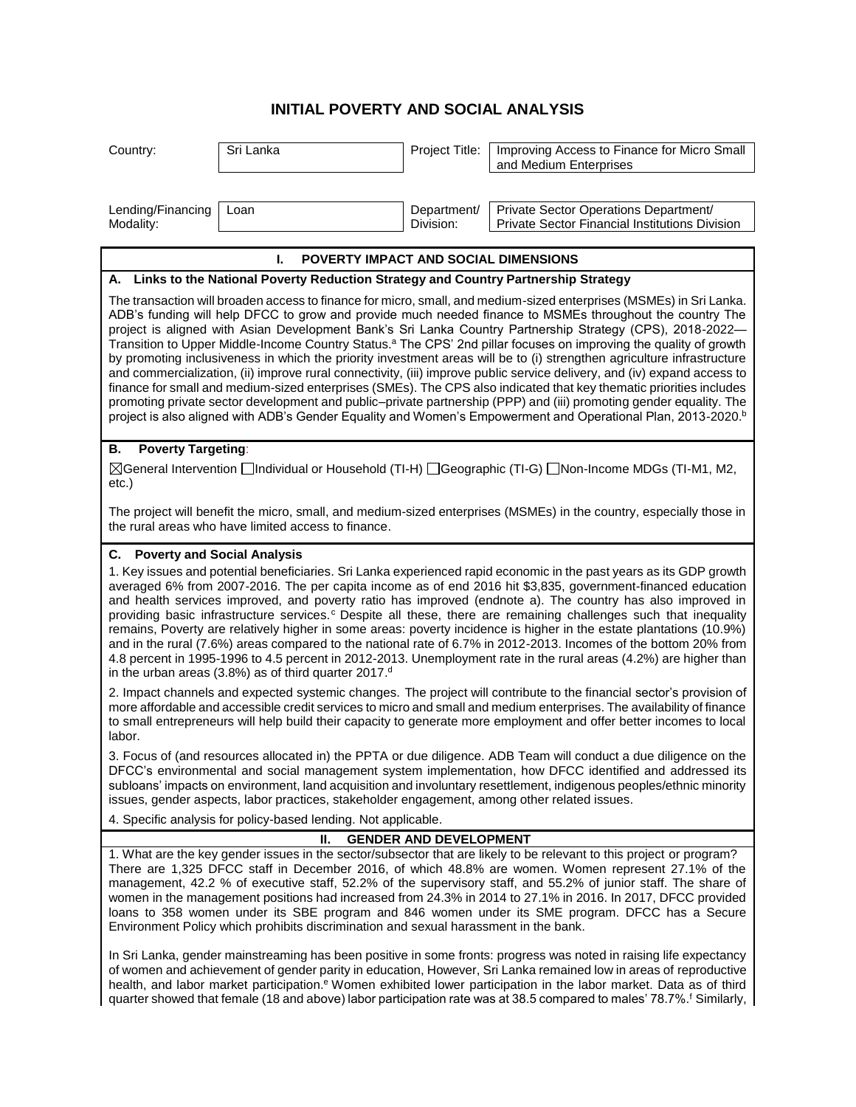## **INITIAL POVERTY AND SOCIAL ANALYSIS**

| Country:                                                                                                                                                                                                                                                                                                                                                                                                                                                                                                                                                                                                                                                                                                                                                                                                                                                                                                                                                                                                                                                                                                     | Sri Lanka | Project Title:           | Improving Access to Finance for Micro Small<br>and Medium Enterprises                   |  |
|--------------------------------------------------------------------------------------------------------------------------------------------------------------------------------------------------------------------------------------------------------------------------------------------------------------------------------------------------------------------------------------------------------------------------------------------------------------------------------------------------------------------------------------------------------------------------------------------------------------------------------------------------------------------------------------------------------------------------------------------------------------------------------------------------------------------------------------------------------------------------------------------------------------------------------------------------------------------------------------------------------------------------------------------------------------------------------------------------------------|-----------|--------------------------|-----------------------------------------------------------------------------------------|--|
| Lending/Financing<br>Modality:                                                                                                                                                                                                                                                                                                                                                                                                                                                                                                                                                                                                                                                                                                                                                                                                                                                                                                                                                                                                                                                                               | Loan      | Department/<br>Division: | Private Sector Operations Department/<br>Private Sector Financial Institutions Division |  |
| L.<br>POVERTY IMPACT AND SOCIAL DIMENSIONS                                                                                                                                                                                                                                                                                                                                                                                                                                                                                                                                                                                                                                                                                                                                                                                                                                                                                                                                                                                                                                                                   |           |                          |                                                                                         |  |
| A. Links to the National Poverty Reduction Strategy and Country Partnership Strategy                                                                                                                                                                                                                                                                                                                                                                                                                                                                                                                                                                                                                                                                                                                                                                                                                                                                                                                                                                                                                         |           |                          |                                                                                         |  |
| The transaction will broaden access to finance for micro, small, and medium-sized enterprises (MSMEs) in Sri Lanka.<br>ADB's funding will help DFCC to grow and provide much needed finance to MSMEs throughout the country The<br>project is aligned with Asian Development Bank's Sri Lanka Country Partnership Strategy (CPS), 2018-2022-<br>Transition to Upper Middle-Income Country Status. <sup>a</sup> The CPS' 2nd pillar focuses on improving the quality of growth<br>by promoting inclusiveness in which the priority investment areas will be to (i) strengthen agriculture infrastructure<br>and commercialization, (ii) improve rural connectivity, (iii) improve public service delivery, and (iv) expand access to<br>finance for small and medium-sized enterprises (SMEs). The CPS also indicated that key thematic priorities includes<br>promoting private sector development and public-private partnership (PPP) and (iii) promoting gender equality. The<br>project is also aligned with ADB's Gender Equality and Women's Empowerment and Operational Plan, 2013-2020. <sup>b</sup> |           |                          |                                                                                         |  |
| <b>Poverty Targeting:</b><br>В.                                                                                                                                                                                                                                                                                                                                                                                                                                                                                                                                                                                                                                                                                                                                                                                                                                                                                                                                                                                                                                                                              |           |                          |                                                                                         |  |
| [TI-G) General Intervention Dindividual or Household (TI-H) Deeographic (TI-G) Dinn-Income MDGs (TI-M1, M2,<br>etc.)                                                                                                                                                                                                                                                                                                                                                                                                                                                                                                                                                                                                                                                                                                                                                                                                                                                                                                                                                                                         |           |                          |                                                                                         |  |
| The project will benefit the micro, small, and medium-sized enterprises (MSMEs) in the country, especially those in<br>the rural areas who have limited access to finance.                                                                                                                                                                                                                                                                                                                                                                                                                                                                                                                                                                                                                                                                                                                                                                                                                                                                                                                                   |           |                          |                                                                                         |  |
| C. Poverty and Social Analysis                                                                                                                                                                                                                                                                                                                                                                                                                                                                                                                                                                                                                                                                                                                                                                                                                                                                                                                                                                                                                                                                               |           |                          |                                                                                         |  |
| 1. Key issues and potential beneficiaries. Sri Lanka experienced rapid economic in the past years as its GDP growth<br>averaged 6% from 2007-2016. The per capita income as of end 2016 hit \$3,835, government-financed education<br>and health services improved, and poverty ratio has improved (endnote a). The country has also improved in<br>providing basic infrastructure services. <sup>c</sup> Despite all these, there are remaining challenges such that inequality<br>remains, Poverty are relatively higher in some areas: poverty incidence is higher in the estate plantations (10.9%)<br>and in the rural (7.6%) areas compared to the national rate of 6.7% in 2012-2013. Incomes of the bottom 20% from<br>4.8 percent in 1995-1996 to 4.5 percent in 2012-2013. Unemployment rate in the rural areas (4.2%) are higher than<br>in the urban areas (3.8%) as of third quarter 2017. <sup>d</sup>                                                                                                                                                                                         |           |                          |                                                                                         |  |
| 2. Impact channels and expected systemic changes. The project will contribute to the financial sector's provision of<br>more affordable and accessible credit services to micro and small and medium enterprises. The availability of finance<br>to small entrepreneurs will help build their capacity to generate more employment and offer better incomes to local<br>labor.                                                                                                                                                                                                                                                                                                                                                                                                                                                                                                                                                                                                                                                                                                                               |           |                          |                                                                                         |  |
| 3. Focus of (and resources allocated in) the PPTA or due diligence. ADB Team will conduct a due diligence on the<br>DFCC's environmental and social management system implementation, how DFCC identified and addressed its<br>subloans' impacts on environment, land acquisition and involuntary resettlement, indigenous peoples/ethnic minority<br>issues, gender aspects, labor practices, stakeholder engagement, among other related issues.                                                                                                                                                                                                                                                                                                                                                                                                                                                                                                                                                                                                                                                           |           |                          |                                                                                         |  |
| 4. Specific analysis for policy-based lending. Not applicable.                                                                                                                                                                                                                                                                                                                                                                                                                                                                                                                                                                                                                                                                                                                                                                                                                                                                                                                                                                                                                                               |           |                          |                                                                                         |  |
| <b>GENDER AND DEVELOPMENT</b><br>Ш.                                                                                                                                                                                                                                                                                                                                                                                                                                                                                                                                                                                                                                                                                                                                                                                                                                                                                                                                                                                                                                                                          |           |                          |                                                                                         |  |
| 1. What are the key gender issues in the sector/subsector that are likely to be relevant to this project or program?<br>There are 1,325 DFCC staff in December 2016, of which 48.8% are women. Women represent 27.1% of the<br>management, 42.2 % of executive staff, 52.2% of the supervisory staff, and 55.2% of junior staff. The share of<br>women in the management positions had increased from 24.3% in 2014 to 27.1% in 2016. In 2017, DFCC provided<br>loans to 358 women under its SBE program and 846 women under its SME program. DFCC has a Secure<br>Environment Policy which prohibits discrimination and sexual harassment in the bank.                                                                                                                                                                                                                                                                                                                                                                                                                                                      |           |                          |                                                                                         |  |
| In Sri Lanka, gender mainstreaming has been positive in some fronts: progress was noted in raising life expectancy<br>of women and achievement of gender parity in education, However, Sri Lanka remained low in areas of reproductive<br>health, and labor market participation. <sup>e</sup> Women exhibited lower participation in the labor market. Data as of third<br>quarter showed that female (18 and above) labor participation rate was at 38.5 compared to males' 78.7%. <sup>f</sup> Similarly,                                                                                                                                                                                                                                                                                                                                                                                                                                                                                                                                                                                                 |           |                          |                                                                                         |  |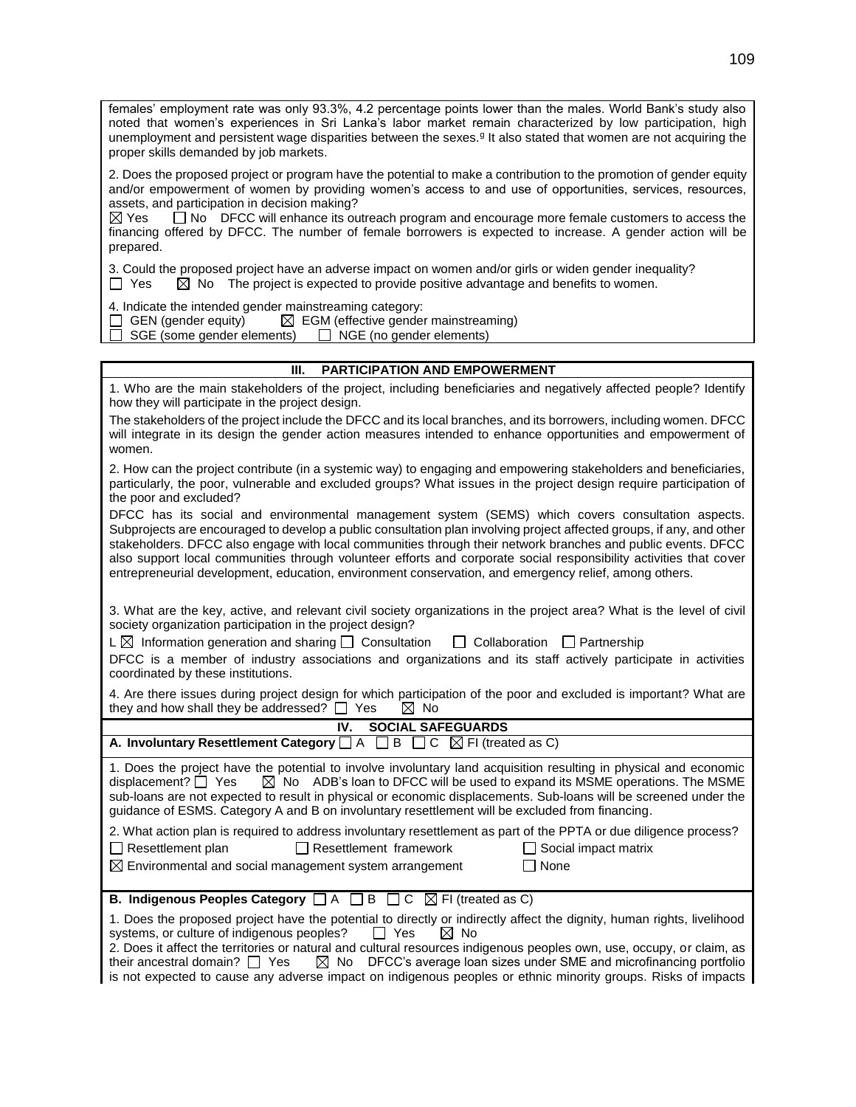females' employment rate was only 93.3%, 4.2 percentage points lower than the males. World Bank's study also noted that women's experiences in Sri Lanka's labor market remain characterized by low participation, high unemployment and persistent wage disparities between the sexes.<sup>g</sup> It also stated that women are not acquiring the proper skills demanded by job markets.

2. Does the proposed project or program have the potential to make a contribution to the promotion of gender equity and/or empowerment of women by providing women's access to and use of opportunities, services, resources, assets, and participation in decision making?

 $\boxtimes$  Yes  $\Box$  No DFCC will enhance its outreach program and encourage more female customers to access the financing offered by DFCC. The number of female borrowers is expected to increase. A gender action will be prepared.

3. Could the proposed project have an adverse impact on women and/or girls or widen gender inequality?

 $\Box$  Yes  $\Box$  No The project is expected to provide positive advantage and benefits to women.

4. Indicate the intended gender mainstreaming category:

 $\Box$  GEN (gender equity)  $\Box$  EGM (effective gender mainstreaming)

 $\Box$  SGE (some gender elements)  $\Box$  NGE (no gender elements)

| <b>PARTICIPATION AND EMPOWERMENT</b><br>III.                                                                                                                                                                                                                                                                                                                                                                                                                                                                                                                              |
|---------------------------------------------------------------------------------------------------------------------------------------------------------------------------------------------------------------------------------------------------------------------------------------------------------------------------------------------------------------------------------------------------------------------------------------------------------------------------------------------------------------------------------------------------------------------------|
| 1. Who are the main stakeholders of the project, including beneficiaries and negatively affected people? Identify<br>how they will participate in the project design.                                                                                                                                                                                                                                                                                                                                                                                                     |
| The stakeholders of the project include the DFCC and its local branches, and its borrowers, including women. DFCC<br>will integrate in its design the gender action measures intended to enhance opportunities and empowerment of<br>women.                                                                                                                                                                                                                                                                                                                               |
| 2. How can the project contribute (in a systemic way) to engaging and empowering stakeholders and beneficiaries,<br>particularly, the poor, vulnerable and excluded groups? What issues in the project design require participation of<br>the poor and excluded?                                                                                                                                                                                                                                                                                                          |
| DFCC has its social and environmental management system (SEMS) which covers consultation aspects.<br>Subprojects are encouraged to develop a public consultation plan involving project affected groups, if any, and other<br>stakeholders. DFCC also engage with local communities through their network branches and public events. DFCC<br>also support local communities through volunteer efforts and corporate social responsibility activities that cover<br>entrepreneurial development, education, environment conservation, and emergency relief, among others. |
| 3. What are the key, active, and relevant civil society organizations in the project area? What is the level of civil<br>society organization participation in the project design?<br>$L \boxtimes$ Information generation and sharing $\Box$ Consultation<br>$\Box$ Collaboration<br>$\Box$ Partnership<br>DFCC is a member of industry associations and organizations and its staff actively participate in activities<br>coordinated by these institutions.                                                                                                            |
| 4. Are there issues during project design for which participation of the poor and excluded is important? What are<br>they and how shall they be addressed? $\Box$ Yes<br>$\boxtimes$ No                                                                                                                                                                                                                                                                                                                                                                                   |
| <b>SOCIAL SAFEGUARDS</b><br>IV.                                                                                                                                                                                                                                                                                                                                                                                                                                                                                                                                           |
| A. Involuntary Resettlement Category $\Box A \Box B \Box C \boxtimes F$ (treated as C)                                                                                                                                                                                                                                                                                                                                                                                                                                                                                    |
| 1. Does the project have the potential to involve involuntary land acquisition resulting in physical and economic<br>displacement? □ Yes<br>$\boxtimes$ No ADB's loan to DFCC will be used to expand its MSME operations. The MSME<br>sub-loans are not expected to result in physical or economic displacements. Sub-loans will be screened under the<br>guidance of ESMS. Category A and B on involuntary resettlement will be excluded from financing.                                                                                                                 |
| 2. What action plan is required to address involuntary resettlement as part of the PPTA or due diligence process?<br>$\Box$ Resettlement plan<br>$\Box$ Resettlement framework<br>Social impact matrix<br>$\boxtimes$ Environmental and social management system arrangement<br>$\Box$ None                                                                                                                                                                                                                                                                               |
| <b>B.</b> Indigenous Peoples Category $\Box A \Box B \Box C \boxtimes F$ (treated as C)                                                                                                                                                                                                                                                                                                                                                                                                                                                                                   |
| 1. Does the proposed project have the potential to directly or indirectly affect the dignity, human rights, livelihood<br>systems, or culture of indigenous peoples?<br>$\Box$ Yes<br>$\boxtimes$ No                                                                                                                                                                                                                                                                                                                                                                      |
| 2. Does it affect the territories or natural and cultural resources indigenous peoples own, use, occupy, or claim, as<br>DFCC's average loan sizes under SME and microfinancing portfolio<br>their ancestral domain? $\Box$ Yes<br>$\boxtimes$ No<br>is not expected to cause any adverse impact on indigenous peoples or ethnic minority groups. Risks of impacts                                                                                                                                                                                                        |